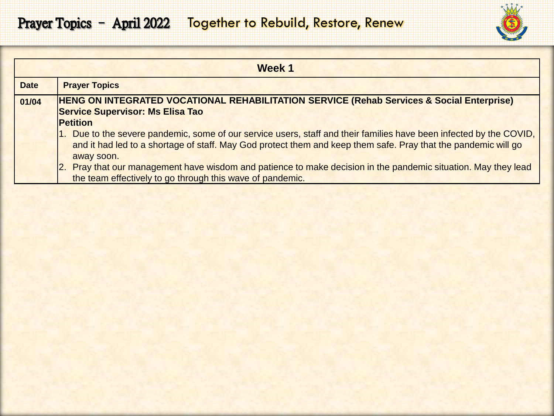

|             | Week 1                                                                                                                                                                                                                                                                 |
|-------------|------------------------------------------------------------------------------------------------------------------------------------------------------------------------------------------------------------------------------------------------------------------------|
| <b>Date</b> | <b>Prayer Topics</b>                                                                                                                                                                                                                                                   |
| 01/04       | HENG ON INTEGRATED VOCATIONAL REHABILITATION SERVICE (Rehab Services & Social Enterprise)<br><b>Service Supervisor: Ms Elisa Tao</b>                                                                                                                                   |
|             | <b>Petition</b><br>1. Due to the severe pandemic, some of our service users, staff and their families have been infected by the COVID,<br>and it had led to a shortage of staff. May God protect them and keep them safe. Pray that the pandemic will go<br>away soon. |
|             | Pray that our management have wisdom and patience to make decision in the pandemic situation. May they lead<br><u> 2.</u><br>the team effectively to go through this wave of pandemic.                                                                                 |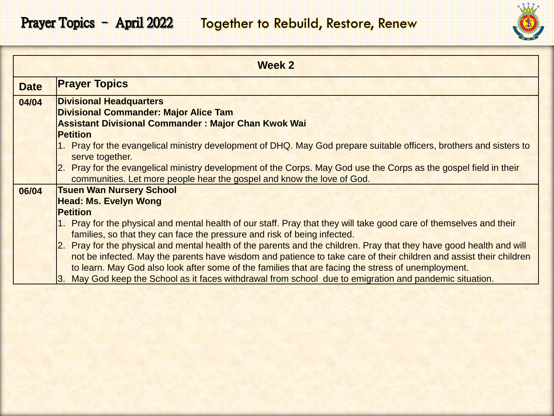

|             | Week 2                                                                                                                                                                                                                                                                                                                                                                                                                                                                                                                                                                                                                                                                                                                                                   |
|-------------|----------------------------------------------------------------------------------------------------------------------------------------------------------------------------------------------------------------------------------------------------------------------------------------------------------------------------------------------------------------------------------------------------------------------------------------------------------------------------------------------------------------------------------------------------------------------------------------------------------------------------------------------------------------------------------------------------------------------------------------------------------|
| <b>Date</b> | <b>Prayer Topics</b>                                                                                                                                                                                                                                                                                                                                                                                                                                                                                                                                                                                                                                                                                                                                     |
| 04/04       | <b>Divisional Headquarters</b><br><b>Divisional Commander: Major Alice Tam</b><br><b>Assistant Divisional Commander: Major Chan Kwok Wai</b><br><b>Petition</b>                                                                                                                                                                                                                                                                                                                                                                                                                                                                                                                                                                                          |
|             | 1. Pray for the evangelical ministry development of DHQ. May God prepare suitable officers, brothers and sisters to<br>serve together.<br>2. Pray for the evangelical ministry development of the Corps. May God use the Corps as the gospel field in their<br>communities. Let more people hear the gospel and know the love of God.                                                                                                                                                                                                                                                                                                                                                                                                                    |
| 06/04       | <b>Tsuen Wan Nursery School</b><br><b>Head: Ms. Evelyn Wong</b><br><b>Petition</b><br>1. Pray for the physical and mental health of our staff. Pray that they will take good care of themselves and their<br>families, so that they can face the pressure and risk of being infected.<br>2. Pray for the physical and mental health of the parents and the children. Pray that they have good health and will<br>not be infected. May the parents have wisdom and patience to take care of their children and assist their children<br>to learn. May God also look after some of the families that are facing the stress of unemployment.<br>May God keep the School as it faces withdrawal from school due to emigration and pandemic situation.<br>13. |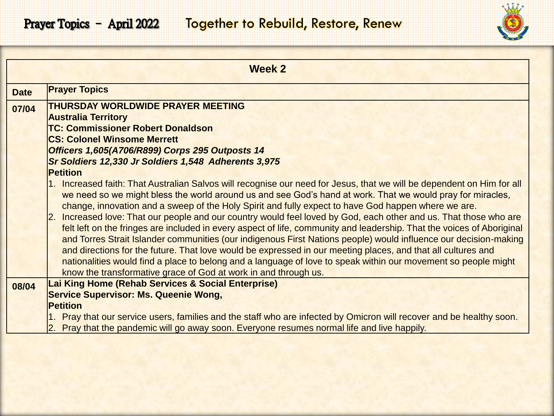

|             | <b>Week 2</b>                                                                                                                                                                                                                                                                                                                                                                                                                                                                                                                                                                                                                                                                                                                                                                                                                                                                                                                                                                                                           |
|-------------|-------------------------------------------------------------------------------------------------------------------------------------------------------------------------------------------------------------------------------------------------------------------------------------------------------------------------------------------------------------------------------------------------------------------------------------------------------------------------------------------------------------------------------------------------------------------------------------------------------------------------------------------------------------------------------------------------------------------------------------------------------------------------------------------------------------------------------------------------------------------------------------------------------------------------------------------------------------------------------------------------------------------------|
| <b>Date</b> | <b>Prayer Topics</b>                                                                                                                                                                                                                                                                                                                                                                                                                                                                                                                                                                                                                                                                                                                                                                                                                                                                                                                                                                                                    |
| 07/04       | <b>THURSDAY WORLDWIDE PRAYER MEETING</b><br><b>Australia Territory</b><br><b>TC: Commissioner Robert Donaldson</b>                                                                                                                                                                                                                                                                                                                                                                                                                                                                                                                                                                                                                                                                                                                                                                                                                                                                                                      |
|             | <b>CS: Colonel Winsome Merrett</b>                                                                                                                                                                                                                                                                                                                                                                                                                                                                                                                                                                                                                                                                                                                                                                                                                                                                                                                                                                                      |
|             | Officers 1,605(A706/R899) Corps 295 Outposts 14                                                                                                                                                                                                                                                                                                                                                                                                                                                                                                                                                                                                                                                                                                                                                                                                                                                                                                                                                                         |
|             | Sr Soldiers 12,330 Jr Soldiers 1,548 Adherents 3,975<br><b>Petition</b>                                                                                                                                                                                                                                                                                                                                                                                                                                                                                                                                                                                                                                                                                                                                                                                                                                                                                                                                                 |
|             | 1. Increased faith: That Australian Salvos will recognise our need for Jesus, that we will be dependent on Him for all<br>we need so we might bless the world around us and see God's hand at work. That we would pray for miracles,<br>change, innovation and a sweep of the Holy Spirit and fully expect to have God happen where we are.<br>Increased love: That our people and our country would feel loved by God, each other and us. That those who are<br>I2.<br>felt left on the fringes are included in every aspect of life, community and leadership. That the voices of Aboriginal<br>and Torres Strait Islander communities (our indigenous First Nations people) would influence our decision-making<br>and directions for the future. That love would be expressed in our meeting places, and that all cultures and<br>nationalities would find a place to belong and a language of love to speak within our movement so people might<br>know the transformative grace of God at work in and through us. |
| 08/04       | Lai King Home (Rehab Services & Social Enterprise)<br><b>Service Supervisor: Ms. Queenie Wong,</b>                                                                                                                                                                                                                                                                                                                                                                                                                                                                                                                                                                                                                                                                                                                                                                                                                                                                                                                      |
|             | <b>Petition</b>                                                                                                                                                                                                                                                                                                                                                                                                                                                                                                                                                                                                                                                                                                                                                                                                                                                                                                                                                                                                         |
|             | 1. Pray that our service users, families and the staff who are infected by Omicron will recover and be healthy soon.<br>2. Pray that the pandemic will go away soon. Everyone resumes normal life and live happily.                                                                                                                                                                                                                                                                                                                                                                                                                                                                                                                                                                                                                                                                                                                                                                                                     |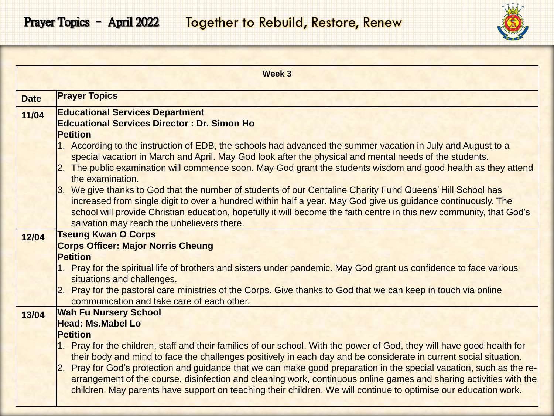

|             | Week 3                                                                                                                                                                                                                                                                                                                                                                                           |
|-------------|--------------------------------------------------------------------------------------------------------------------------------------------------------------------------------------------------------------------------------------------------------------------------------------------------------------------------------------------------------------------------------------------------|
| <b>Date</b> | <b>Prayer Topics</b>                                                                                                                                                                                                                                                                                                                                                                             |
| 11/04       | <b>Educational Services Department</b><br><b>Edcuational Services Director: Dr. Simon Ho</b><br><b>Petition</b>                                                                                                                                                                                                                                                                                  |
|             | 1. According to the instruction of EDB, the schools had advanced the summer vacation in July and August to a<br>special vacation in March and April. May God look after the physical and mental needs of the students.<br>2. The public examination will commence soon. May God grant the students wisdom and good health as they attend<br>the examination.                                     |
|             | 3. We give thanks to God that the number of students of our Centaline Charity Fund Queens' Hill School has<br>increased from single digit to over a hundred within half a year. May God give us guidance continuously. The<br>school will provide Christian education, hopefully it will become the faith centre in this new community, that God's<br>salvation may reach the unbelievers there. |
| 12/04       | <b>Tseung Kwan O Corps</b><br><b>Corps Officer: Major Norris Cheung</b>                                                                                                                                                                                                                                                                                                                          |
|             | <b>Petition</b>                                                                                                                                                                                                                                                                                                                                                                                  |
|             | 1. Pray for the spiritual life of brothers and sisters under pandemic. May God grant us confidence to face various<br>situations and challenges.                                                                                                                                                                                                                                                 |
|             | 2. Pray for the pastoral care ministries of the Corps. Give thanks to God that we can keep in touch via online<br>communication and take care of each other.                                                                                                                                                                                                                                     |
| 13/04       | <b>Wah Fu Nursery School</b>                                                                                                                                                                                                                                                                                                                                                                     |
|             | <b>Head: Ms.Mabel Lo</b>                                                                                                                                                                                                                                                                                                                                                                         |
|             | <b>Petition</b><br>1. Pray for the children, staff and their families of our school. With the power of God, they will have good health for                                                                                                                                                                                                                                                       |
|             | their body and mind to face the challenges positively in each day and be considerate in current social situation.                                                                                                                                                                                                                                                                                |
|             | Pray for God's protection and guidance that we can make good preparation in the special vacation, such as the re-<br>$\mathsf{2}.$                                                                                                                                                                                                                                                               |
|             | arrangement of the course, disinfection and cleaning work, continuous online games and sharing activities with the<br>children. May parents have support on teaching their children. We will continue to optimise our education work.                                                                                                                                                            |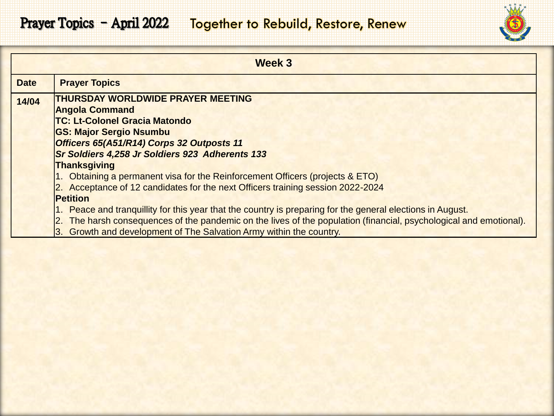

| Week 3      |                                                                                                                    |
|-------------|--------------------------------------------------------------------------------------------------------------------|
| <b>Date</b> | <b>Prayer Topics</b>                                                                                               |
| 14/04       | <b>THURSDAY WORLDWIDE PRAYER MEETING</b>                                                                           |
|             | <b>Angola Command</b>                                                                                              |
|             | <b>TC: Lt-Colonel Gracia Matondo</b>                                                                               |
|             | <b>GS: Major Sergio Nsumbu</b>                                                                                     |
|             | Officers 65(A51/R14) Corps 32 Outposts 11                                                                          |
|             | Sr Soldiers 4,258 Jr Soldiers 923 Adherents 133                                                                    |
|             | <b>Thanksgiving</b>                                                                                                |
|             | 1. Obtaining a permanent visa for the Reinforcement Officers (projects & ETO)                                      |
|             | 2. Acceptance of 12 candidates for the next Officers training session 2022-2024                                    |
|             | <b>Petition</b>                                                                                                    |
|             | 1. Peace and tranguillity for this year that the country is preparing for the general elections in August.         |
|             | 2. The harsh consequences of the pandemic on the lives of the population (financial, psychological and emotional). |
|             | 3. Growth and development of The Salvation Army within the country.                                                |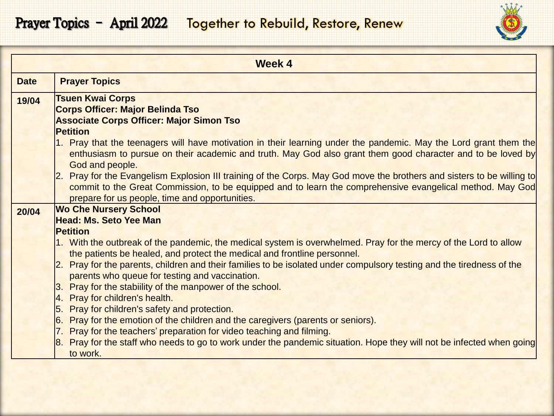

|             | <b>Week 4</b>                                                                                                                                                                                                                                                                                                                                                                                                                                                                                                                                                                                                                       |
|-------------|-------------------------------------------------------------------------------------------------------------------------------------------------------------------------------------------------------------------------------------------------------------------------------------------------------------------------------------------------------------------------------------------------------------------------------------------------------------------------------------------------------------------------------------------------------------------------------------------------------------------------------------|
| <b>Date</b> | <b>Prayer Topics</b>                                                                                                                                                                                                                                                                                                                                                                                                                                                                                                                                                                                                                |
| 19/04       | <b>Tsuen Kwai Corps</b><br><b>Corps Officer: Major Belinda Tso</b><br><b>Associate Corps Officer: Major Simon Tso</b><br><b>Petition</b><br>1. Pray that the teenagers will have motivation in their learning under the pandemic. May the Lord grant them the<br>enthusiasm to pursue on their academic and truth. May God also grant them good character and to be loved by<br>God and people.<br>Pray for the Evangelism Explosion III training of the Corps. May God move the brothers and sisters to be willing to<br>commit to the Great Commission, to be equipped and to learn the comprehensive evangelical method. May God |
| 20/04       | prepare for us people, time and opportunities.<br><b>Wo Che Nursery School</b><br><b>Head: Ms. Seto Yee Man</b><br><b>Petition</b>                                                                                                                                                                                                                                                                                                                                                                                                                                                                                                  |
|             | 1. With the outbreak of the pandemic, the medical system is overwhelmed. Pray for the mercy of the Lord to allow<br>the patients be healed, and protect the medical and frontline personnel.<br>Pray for the parents, children and their families to be isolated under compulsory testing and the tiredness of the<br>12.<br>parents who queue for testing and vaccination.<br>Pray for the stability of the manpower of the school.<br> 3.                                                                                                                                                                                         |
|             | Pray for children's health.<br> 4.<br>Pray for children's safety and protection.<br>15.<br>Pray for the emotion of the children and the caregivers (parents or seniors).<br>16.<br>7. Pray for the teachers' preparation for video teaching and filming.<br>8. Pray for the staff who needs to go to work under the pandemic situation. Hope they will not be infected when going<br>to work.                                                                                                                                                                                                                                       |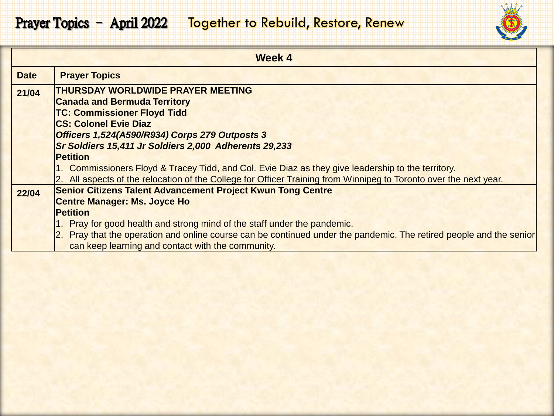

|             | Week 4                                                                                                              |
|-------------|---------------------------------------------------------------------------------------------------------------------|
| <b>Date</b> | <b>Prayer Topics</b>                                                                                                |
| 21/04       | <b>THURSDAY WORLDWIDE PRAYER MEETING</b>                                                                            |
|             | <b>Canada and Bermuda Territory</b>                                                                                 |
|             | <b>TC: Commissioner Floyd Tidd</b>                                                                                  |
|             | <b>CS: Colonel Evie Diaz</b>                                                                                        |
|             | Officers 1,524(A590/R934) Corps 279 Outposts 3                                                                      |
|             | Sr Soldiers 15,411 Jr Soldiers 2,000 Adherents 29,233                                                               |
|             | <b>Petition</b>                                                                                                     |
|             | 1. Commissioners Floyd & Tracey Tidd, and Col. Evie Diaz as they give leadership to the territory.                  |
|             | 2. All aspects of the relocation of the College for Officer Training from Winnipeg to Toronto over the next year.   |
| 22/04       | <b>Senior Citizens Talent Advancement Project Kwun Tong Centre</b>                                                  |
|             | <b>Centre Manager: Ms. Joyce Ho</b>                                                                                 |
|             | <b>Petition</b>                                                                                                     |
|             | 1. Pray for good health and strong mind of the staff under the pandemic.                                            |
|             | 2. Pray that the operation and online course can be continued under the pandemic. The retired people and the senior |
|             | can keep learning and contact with the community.                                                                   |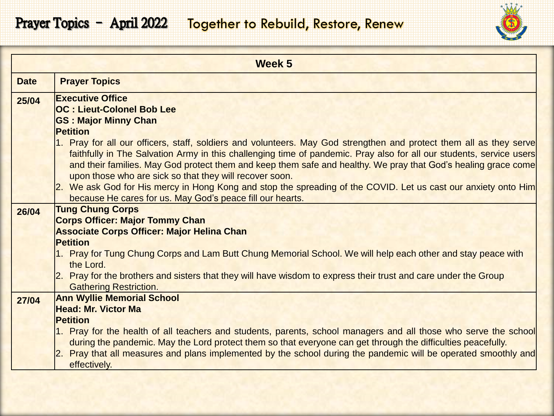

| Week 5      |                                                                                                                                                                                                                                  |
|-------------|----------------------------------------------------------------------------------------------------------------------------------------------------------------------------------------------------------------------------------|
| <b>Date</b> | <b>Prayer Topics</b>                                                                                                                                                                                                             |
| 25/04       | <b>Executive Office</b>                                                                                                                                                                                                          |
|             | <b>OC: Lieut-Colonel Bob Lee</b><br><b>GS: Major Minny Chan</b>                                                                                                                                                                  |
|             | <b>Petition</b>                                                                                                                                                                                                                  |
|             | 1. Pray for all our officers, staff, soldiers and volunteers. May God strengthen and protect them all as they serve                                                                                                              |
|             | faithfully in The Salvation Army in this challenging time of pandemic. Pray also for all our students, service users                                                                                                             |
|             | and their families. May God protect them and keep them safe and healthy. We pray that God's healing grace come                                                                                                                   |
|             | upon those who are sick so that they will recover soon.<br>2. We ask God for His mercy in Hong Kong and stop the spreading of the COVID. Let us cast our anxiety onto Him                                                        |
|             | because He cares for us. May God's peace fill our hearts.                                                                                                                                                                        |
| 26/04       | <b>Tung Chung Corps</b>                                                                                                                                                                                                          |
|             | <b>Corps Officer: Major Tommy Chan</b>                                                                                                                                                                                           |
|             | <b>Associate Corps Officer: Major Helina Chan</b>                                                                                                                                                                                |
|             | <b>Petition</b>                                                                                                                                                                                                                  |
|             | 1. Pray for Tung Chung Corps and Lam Butt Chung Memorial School. We will help each other and stay peace with<br>the Lord.                                                                                                        |
|             | 2. Pray for the brothers and sisters that they will have wisdom to express their trust and care under the Group                                                                                                                  |
|             | <b>Gathering Restriction.</b>                                                                                                                                                                                                    |
| 27/04       | <b>Ann Wyllie Memorial School</b>                                                                                                                                                                                                |
|             | <b>Head: Mr. Victor Ma</b>                                                                                                                                                                                                       |
|             | <b>Petition</b>                                                                                                                                                                                                                  |
|             | 1. Pray for the health of all teachers and students, parents, school managers and all those who serve the school<br>during the pandemic. May the Lord protect them so that everyone can get through the difficulties peacefully. |
|             | 2. Pray that all measures and plans implemented by the school during the pandemic will be operated smoothly and                                                                                                                  |
|             | effectively.                                                                                                                                                                                                                     |